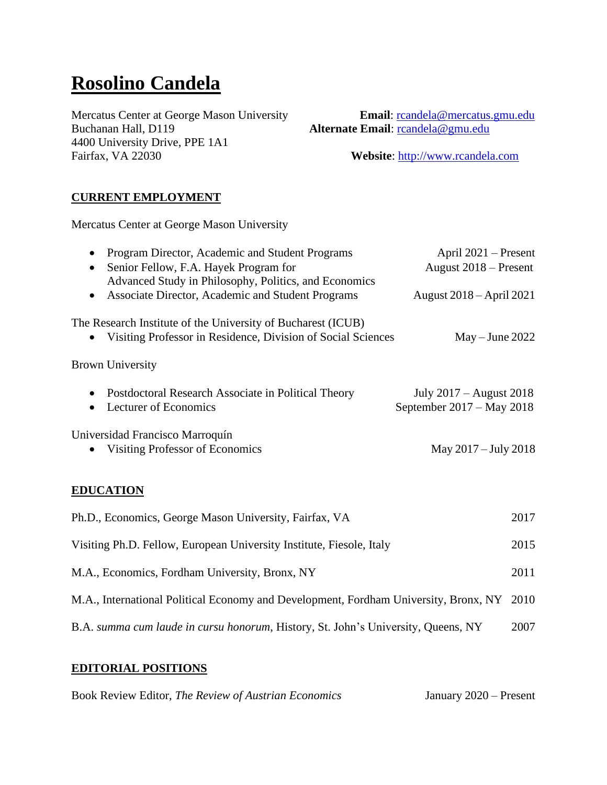# **Rosolino Candela**

**Buchanan Hall, D119 Alternate Email**: [rcandela@gmu.edu](mailto:rcandela@gmu.edu) 4400 University Drive, PPE 1A1 Fairfax, VA 22030 **Website**: [http://www.rcandela.com](http://www.rcandela.com/)

Mercatus Center at George Mason University **Email**: [rcandela@mercatus.gmu.edu](mailto:rcandela@mercatus.gmu.edu)

## **CURRENT EMPLOYMENT**

Mercatus Center at George Mason University

| Program Director, Academic and Student Programs<br>$\bullet$                         | April 2021 – Present      |
|--------------------------------------------------------------------------------------|---------------------------|
| Senior Fellow, F.A. Hayek Program for                                                | August 2018 – Present     |
| Advanced Study in Philosophy, Politics, and Economics                                |                           |
| Associate Director, Academic and Student Programs<br>$\bullet$                       | August 2018 – April 2021  |
| The Research Institute of the University of Bucharest (ICUB)                         |                           |
| Visiting Professor in Residence, Division of Social Sciences                         | $May - June 2022$         |
| <b>Brown University</b>                                                              |                           |
| Postdoctoral Research Associate in Political Theory<br>$\bullet$                     | July 2017 – August 2018   |
| Lecturer of Economics                                                                | September 2017 – May 2018 |
|                                                                                      |                           |
| Universidad Francisco Marroquín                                                      |                           |
| Visiting Professor of Economics                                                      | May 2017 – July 2018      |
|                                                                                      |                           |
| <b>EDUCATION</b>                                                                     |                           |
| Ph.D., Economics, George Mason University, Fairfax, VA                               | 2017                      |
| Visiting Ph.D. Fellow, European University Institute, Fiesole, Italy                 | 2015                      |
| M.A., Economics, Fordham University, Bronx, NY                                       | 2011                      |
| M.A., International Political Economy and Development, Fordham University, Bronx, NY | 2010                      |

B.A. *summa cum laude in cursu honorum*, History, St. John's University, Queens, NY 2007

### **EDITORIAL POSITIONS**

Book Review Editor, *The Review of Austrian Economics* January 2020 – Present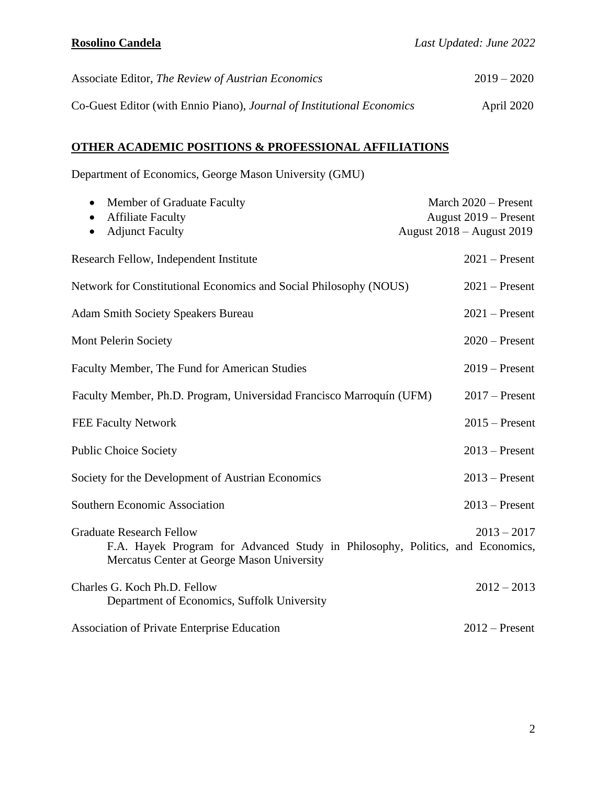| Associate Editor, The Review of Austrian Economics                     | $2019 - 2020$ |
|------------------------------------------------------------------------|---------------|
| Co-Guest Editor (with Ennio Piano), Journal of Institutional Economics | April 2020    |

# **OTHER ACADEMIC POSITIONS & PROFESSIONAL AFFILIATIONS**

Department of Economics, George Mason University (GMU)

| Member of Graduate Faculty<br>$\bullet$                                                                                                                        | March 2020 - Present             |
|----------------------------------------------------------------------------------------------------------------------------------------------------------------|----------------------------------|
| <b>Affiliate Faculty</b>                                                                                                                                       | August 2019 – Present            |
| <b>Adjunct Faculty</b>                                                                                                                                         | <b>August 2018 – August 2019</b> |
| Research Fellow, Independent Institute                                                                                                                         | $2021$ – Present                 |
| Network for Constitutional Economics and Social Philosophy (NOUS)                                                                                              | $2021$ – Present                 |
| <b>Adam Smith Society Speakers Bureau</b>                                                                                                                      | $2021$ – Present                 |
| Mont Pelerin Society                                                                                                                                           | $2020$ – Present                 |
| Faculty Member, The Fund for American Studies                                                                                                                  | $2019$ – Present                 |
| Faculty Member, Ph.D. Program, Universidad Francisco Marroquín (UFM)                                                                                           | $2017$ – Present                 |
| <b>FEE Faculty Network</b>                                                                                                                                     | $2015$ – Present                 |
| <b>Public Choice Society</b>                                                                                                                                   | $2013$ – Present                 |
| Society for the Development of Austrian Economics                                                                                                              | $2013$ – Present                 |
| <b>Southern Economic Association</b>                                                                                                                           | $2013$ – Present                 |
| <b>Graduate Research Fellow</b><br>F.A. Hayek Program for Advanced Study in Philosophy, Politics, and Economics,<br>Mercatus Center at George Mason University | $2013 - 2017$                    |
| Charles G. Koch Ph.D. Fellow<br>Department of Economics, Suffolk University                                                                                    | $2012 - 2013$                    |
| <b>Association of Private Enterprise Education</b>                                                                                                             | $2012$ – Present                 |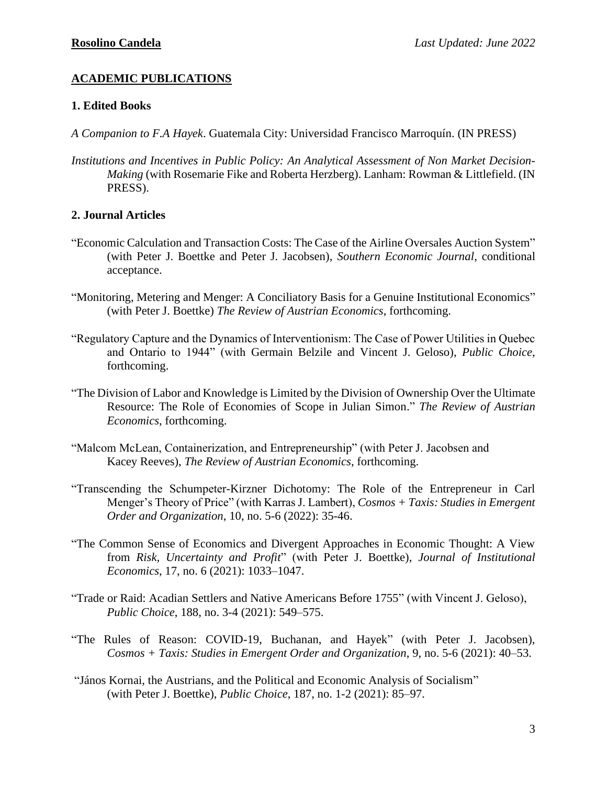# **ACADEMIC PUBLICATIONS**

### **1. Edited Books**

- *A Companion to F.A Hayek*. Guatemala City: Universidad Francisco Marroquín. (IN PRESS)
- *Institutions and Incentives in Public Policy: An Analytical Assessment of Non Market Decision-Making* (with Rosemarie Fike and Roberta Herzberg). Lanham: Rowman & Littlefield. (IN PRESS).

### **2. Journal Articles**

- "Economic Calculation and Transaction Costs: The Case of the Airline Oversales Auction System" (with Peter J. Boettke and Peter J. Jacobsen), *Southern Economic Journal*, conditional acceptance.
- "Monitoring, Metering and Menger: A Conciliatory Basis for a Genuine Institutional Economics" (with Peter J. Boettke) *The Review of Austrian Economics*, forthcoming.
- "Regulatory Capture and the Dynamics of Interventionism: The Case of Power Utilities in Quebec and Ontario to 1944" (with Germain Belzile and Vincent J. Geloso), *Public Choice*, forthcoming.
- "The Division of Labor and Knowledge is Limited by the Division of Ownership Over the Ultimate Resource: The Role of Economies of Scope in Julian Simon." *The Review of Austrian Economics*, forthcoming.
- "Malcom McLean, Containerization, and Entrepreneurship" (with Peter J. Jacobsen and Kacey Reeves), *The Review of Austrian Economics*, forthcoming.
- "Transcending the Schumpeter-Kirzner Dichotomy: The Role of the Entrepreneur in Carl Menger's Theory of Price" (with Karras J. Lambert), *Cosmos + Taxis: Studies in Emergent Order and Organization*, 10, no. 5-6 (2022): 35-46.
- "The Common Sense of Economics and Divergent Approaches in Economic Thought: A View from *Risk, Uncertainty and Profit*" (with Peter J. Boettke), *Journal of Institutional Economics*, 17, no. 6 (2021): 1033–1047.
- "Trade or Raid: Acadian Settlers and Native Americans Before 1755" (with Vincent J. Geloso), *Public Choice*, 188, no. 3-4 (2021): 549–575.
- "The Rules of Reason: COVID-19, Buchanan, and Hayek" (with Peter J. Jacobsen), *Cosmos + Taxis: Studies in Emergent Order and Organization*, 9, no. 5-6 (2021): 40–53.
- "János Kornai, the Austrians, and the Political and Economic Analysis of Socialism" (with Peter J. Boettke), *Public Choice*, 187, no. 1-2 (2021): 85–97.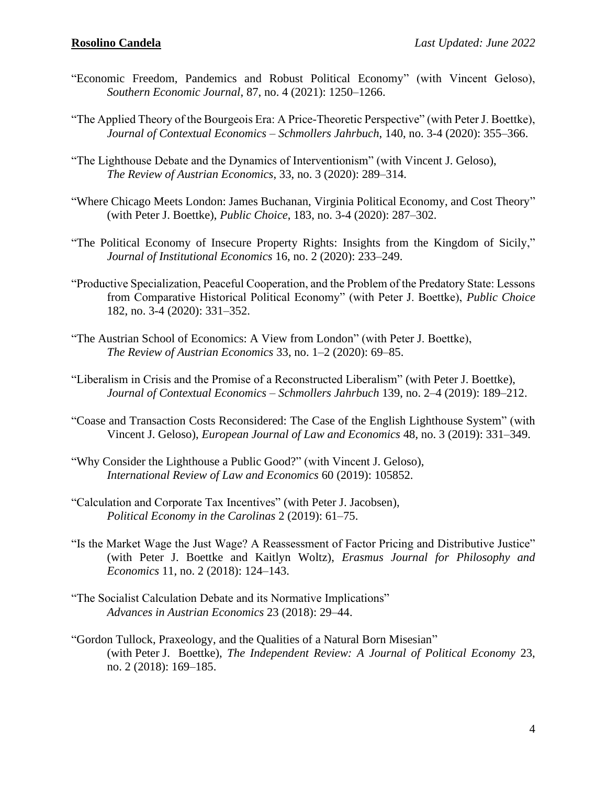- "Economic Freedom, Pandemics and Robust Political Economy" (with Vincent Geloso), *Southern Economic Journal*, 87, no. 4 (2021): 1250–1266.
- "The Applied Theory of the Bourgeois Era: A Price-Theoretic Perspective" (with Peter J. Boettke), *Journal of Contextual Economics – Schmollers Jahrbuch*, 140, no. 3-4 (2020): 355–366.
- "The Lighthouse Debate and the Dynamics of Interventionism" (with Vincent J. Geloso), *The Review of Austrian Economics*, 33, no. 3 (2020): 289–314.
- "Where Chicago Meets London: James Buchanan, Virginia Political Economy, and Cost Theory" (with Peter J. Boettke), *Public Choice*, 183, no. 3-4 (2020): 287–302.
- "The Political Economy of Insecure Property Rights: Insights from the Kingdom of Sicily," *Journal of Institutional Economics* 16, no. 2 (2020): 233–249.
- "Productive Specialization, Peaceful Cooperation, and the Problem of the Predatory State: Lessons from Comparative Historical Political Economy" (with Peter J. Boettke), *Public Choice* 182, no. 3-4 (2020): 331–352.
- "The Austrian School of Economics: A View from London" (with Peter J. Boettke), *The Review of Austrian Economics* 33, no. 1–2 (2020): 69–85.
- "Liberalism in Crisis and the Promise of a Reconstructed Liberalism" (with Peter J. Boettke), *Journal of Contextual Economics – Schmollers Jahrbuch* 139, no. 2–4 (2019): 189–212.
- "Coase and Transaction Costs Reconsidered: The Case of the English Lighthouse System" (with Vincent J. Geloso), *European Journal of Law and Economics* 48, no. 3 (2019): 331–349.
- "Why Consider the Lighthouse a Public Good?" (with Vincent J. Geloso), *International Review of Law and Economics* 60 (2019): 105852.
- "Calculation and Corporate Tax Incentives" (with Peter J. Jacobsen), *Political Economy in the Carolinas* 2 (2019): 61–75.
- "Is the Market Wage the Just Wage? A Reassessment of Factor Pricing and Distributive Justice" (with Peter J. Boettke and Kaitlyn Woltz), *Erasmus Journal for Philosophy and Economics* 11, no. 2 (2018): 124–143.
- "The Socialist Calculation Debate and its Normative Implications" *Advances in Austrian Economics* 23 (2018): 29–44.
- "Gordon Tullock, Praxeology, and the Qualities of a Natural Born Misesian" (with Peter J. Boettke), *The Independent Review: A Journal of Political Economy* 23, no. 2 (2018): 169–185.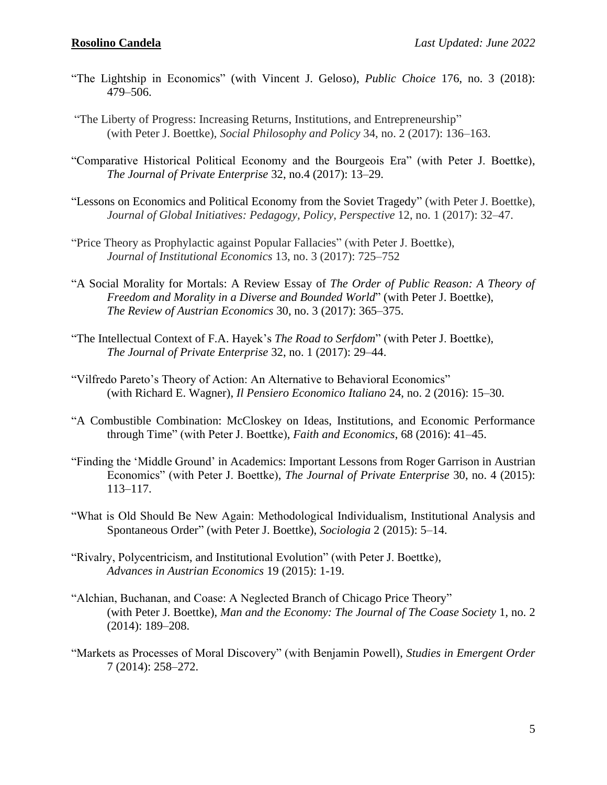- "The Lightship in Economics" (with Vincent J. Geloso), *Public Choice* 176, no. 3 (2018): 479–506.
- "The Liberty of Progress: Increasing Returns, Institutions, and Entrepreneurship" (with Peter J. Boettke), *Social Philosophy and Policy* 34, no. 2 (2017): 136–163.
- "Comparative Historical Political Economy and the Bourgeois Era" (with Peter J. Boettke), *The Journal of Private Enterprise* 32, no.4 (2017): 13–29.
- "Lessons on Economics and Political Economy from the Soviet Tragedy" (with Peter J. Boettke), *Journal of Global Initiatives: Pedagogy, Policy, Perspective* 12, no. 1 (2017): 32–47.
- "Price Theory as Prophylactic against Popular Fallacies" (with Peter J. Boettke), *Journal of Institutional Economics* 13, no. 3 (2017): 725–752
- "A Social Morality for Mortals: A Review Essay of *The Order of Public Reason: A Theory of Freedom and Morality in a Diverse and Bounded World*" (with Peter J. Boettke), *The Review of Austrian Economics* 30, no. 3 (2017): 365–375.
- "The Intellectual Context of F.A. Hayek's *The Road to Serfdom*" (with Peter J. Boettke), *The Journal of Private Enterprise* 32, no. 1 (2017): 29–44.
- "Vilfredo Pareto's Theory of Action: An Alternative to Behavioral Economics" (with Richard E. Wagner), *Il Pensiero Economico Italiano* 24, no. 2 (2016): 15–30.
- "A Combustible Combination: McCloskey on Ideas, Institutions, and Economic Performance through Time" (with Peter J. Boettke), *Faith and Economics*, 68 (2016): 41–45.
- "Finding the 'Middle Ground' in Academics: Important Lessons from Roger Garrison in Austrian Economics" (with Peter J. Boettke), *The Journal of Private Enterprise* 30, no. 4 (2015): 113–117.
- "What is Old Should Be New Again: Methodological Individualism, Institutional Analysis and Spontaneous Order" (with Peter J. Boettke), *Sociologia* 2 (2015): 5–14.
- "Rivalry, Polycentricism, and Institutional Evolution" (with Peter J. Boettke), *Advances in Austrian Economics* 19 (2015): 1-19.
- "Alchian, Buchanan, and Coase: A Neglected Branch of Chicago Price Theory" (with Peter J. Boettke), *Man and the Economy: The Journal of The Coase Society* 1, no. 2 (2014): 189–208.
- "Markets as Processes of Moral Discovery" (with Benjamin Powell), *Studies in Emergent Order* 7 (2014): 258–272.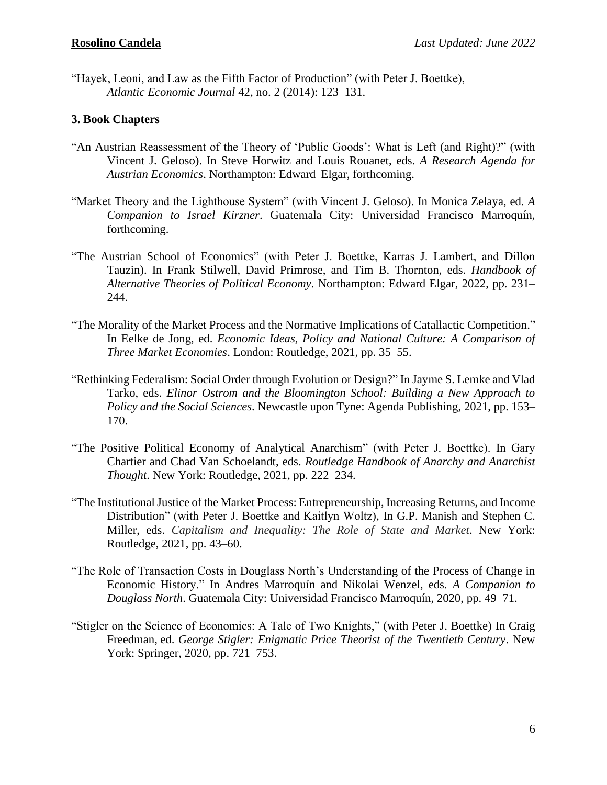"Hayek, Leoni, and Law as the Fifth Factor of Production" (with Peter J. Boettke), *Atlantic Economic Journal* 42, no. 2 (2014): 123–131.

### **3. Book Chapters**

- "An Austrian Reassessment of the Theory of 'Public Goods': What is Left (and Right)?" (with Vincent J. Geloso). In Steve Horwitz and Louis Rouanet, eds. *A Research Agenda for Austrian Economics*. Northampton: Edward Elgar, forthcoming.
- "Market Theory and the Lighthouse System" (with Vincent J. Geloso). In Monica Zelaya, ed. *A Companion to Israel Kirzner*. Guatemala City: Universidad Francisco Marroquín, forthcoming.
- "The Austrian School of Economics" (with Peter J. Boettke, Karras J. Lambert, and Dillon Tauzin). In Frank Stilwell, David Primrose, and Tim B. Thornton, eds. *Handbook of Alternative Theories of Political Economy*. Northampton: Edward Elgar, 2022, pp. 231– 244.
- "The Morality of the Market Process and the Normative Implications of Catallactic Competition." In Eelke de Jong, ed. *Economic Ideas, Policy and National Culture: A Comparison of Three Market Economies*. London: Routledge, 2021, pp. 35–55.
- "Rethinking Federalism: Social Order through Evolution or Design?" In Jayme S. Lemke and Vlad Tarko, eds. *Elinor Ostrom and the Bloomington School: Building a New Approach to Policy and the Social Sciences*. Newcastle upon Tyne: Agenda Publishing, 2021, pp. 153– 170.
- "The Positive Political Economy of Analytical Anarchism" (with Peter J. Boettke). In Gary Chartier and Chad Van Schoelandt, eds. *Routledge Handbook of Anarchy and Anarchist Thought*. New York: Routledge, 2021, pp. 222–234.
- ["The](https://papers.ssrn.com/sol3/papers.cfm?abstract_id=3082487) Institutional Justice of the Market Process: Entrepreneurship, Increasing Returns, and Income Distribution" (with Peter J. Boettke and Kaitlyn Woltz), In G.P. Manish and Stephen C. Miller, eds. *Capitalism and Inequality: The Role of State and Market*. New York: Routledge, 2021, pp. 43–60.
- "The Role of Transaction Costs in Douglass North's Understanding of the Process of Change in Economic History." In Andres Marroquín and Nikolai Wenzel, eds. *A Companion to Douglass North*. Guatemala City: Universidad Francisco Marroquín, 2020, pp. 49–71.
- "Stigler on the Science of Economics: A Tale of Two Knights," (with Peter J. Boettke) In Craig Freedman, ed. *George Stigler: Enigmatic Price Theorist of the Twentieth Century*. New York: Springer, 2020, pp. 721–753.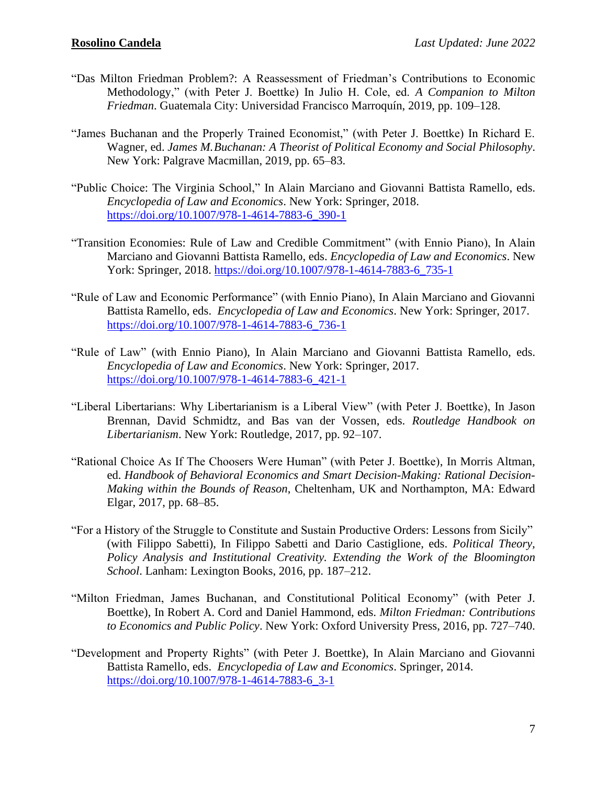- "Das Milton Friedman Problem?: A Reassessment of Friedman's Contributions to Economic Methodology," (with Peter J. Boettke) In Julio H. Cole, ed. *A Companion to Milton Friedman*. Guatemala City: Universidad Francisco Marroquín, 2019, pp. 109–128.
- "James Buchanan and the Properly Trained Economist," (with Peter J. Boettke) In Richard E. Wagner, ed. *James M.Buchanan: A Theorist of Political Economy and Social Philosophy*. New York: Palgrave Macmillan, 2019, pp. 65–83.
- "Public Choice: The Virginia School," In Alain Marciano and Giovanni Battista Ramello, eds. *Encyclopedia of Law and Economics*. New York: Springer, 2018. [https://doi.org/10.1007/978-1-4614-7883-6\\_390-1](https://doi.org/10.1007/978-1-4614-7883-6_390-1)
- "Transition Economies: Rule of Law and Credible Commitment" (with Ennio Piano), In Alain Marciano and Giovanni Battista Ramello, eds. *Encyclopedia of Law and Economics*. New York: Springer, 2018. [https://doi.org/10.1007/978-1-4614-7883-6\\_735-1](https://doi.org/10.1007/978-1-4614-7883-6_735-1)
- "Rule of Law and Economic Performance" (with Ennio Piano), In Alain Marciano and Giovanni Battista Ramello, eds. *Encyclopedia of Law and Economics*. New York: Springer, 2017. [https://doi.org/10.1007/978-1-4614-7883-6\\_736-1](https://doi.org/10.1007/978-1-4614-7883-6_736-1)
- "Rule of Law" (with Ennio Piano), In Alain Marciano and Giovanni Battista Ramello, eds. *Encyclopedia of Law and Economics*. New York: Springer, 2017. [https://doi.org/10.1007/978-1-4614-7883-6\\_421-1](https://doi.org/10.1007/978-1-4614-7883-6_421-1)
- "Liberal Libertarians: Why Libertarianism is a Liberal View" (with Peter J. Boettke), In Jason Brennan, David Schmidtz, and Bas van der Vossen, eds. *Routledge Handbook on Libertarianism*. New York: Routledge, 2017, pp. 92–107.
- "Rational Choice As If The Choosers Were Human" (with Peter J. Boettke), In Morris Altman, ed. *Handbook of Behavioral Economics and Smart Decision-Making: Rational Decision-Making within the Bounds of Reason*, Cheltenham, UK and Northampton, MA: Edward Elgar, 2017, pp. 68–85.
- "For a History of the Struggle to Constitute and Sustain Productive Orders: Lessons from Sicily" (with Filippo Sabetti), In Filippo Sabetti and Dario Castiglione, eds. *Political Theory, Policy Analysis and Institutional Creativity. Extending the Work of the Bloomington School*. Lanham: Lexington Books, 2016, pp. 187–212.
- "Milton Friedman, James Buchanan, and Constitutional Political Economy" (with Peter J. Boettke), In Robert A. Cord and Daniel Hammond, eds. *Milton Friedman: Contributions to Economics and Public Policy*. New York: Oxford University Press, 2016, pp. 727–740.
- "Development and Property Rights" (with Peter J. Boettke), In Alain Marciano and Giovanni Battista Ramello, eds. *Encyclopedia of Law and Economics*. Springer, 2014. [https://doi.org/10.1007/978-1-4614-7883-6\\_3-1](https://doi.org/10.1007/978-1-4614-7883-6_3-1)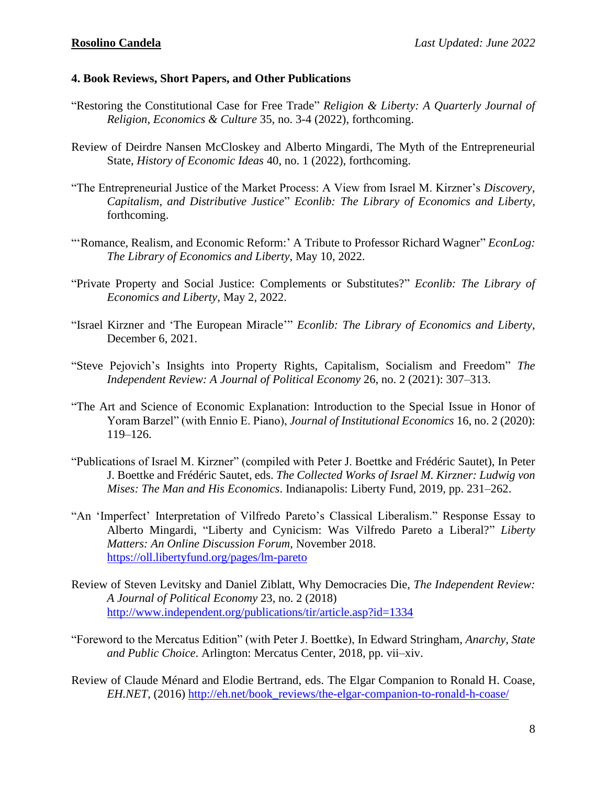### **4. Book Reviews, Short Papers, and Other Publications**

- "Restoring the Constitutional Case for Free Trade" *Religion & Liberty: A Quarterly Journal of Religion, Economics & Culture* 35, no. 3-4 (2022), forthcoming.
- Review of Deirdre Nansen McCloskey and Alberto Mingardi, The Myth of the Entrepreneurial State, *History of Economic Ideas* 40, no. 1 (2022), forthcoming.
- "The Entrepreneurial Justice of the Market Process: A View from Israel M. Kirzner's *Discovery, Capitalism, and Distributive Justice*" *Econlib: The Library of Economics and Liberty*, forthcoming.
- "'Romance, Realism, and Economic Reform:' A Tribute to Professor Richard Wagner" *EconLog: The Library of Economics and Liberty*, May 10, 2022.
- "Private Property and Social Justice: Complements or Substitutes?" *Econlib: The Library of Economics and Liberty*, May 2, 2022.
- "Israel Kirzner and 'The European Miracle'" *Econlib: The Library of Economics and Liberty*, December 6, 2021.
- "Steve Pejovich's Insights into Property Rights, Capitalism, Socialism and Freedom" *The Independent Review: A Journal of Political Economy* 26, no. 2 (2021): 307–313.
- "The Art and Science of Economic Explanation: Introduction to the Special Issue in Honor of Yoram Barzel" (with Ennio E. Piano), *Journal of Institutional Economics* 16, no. 2 (2020): 119–126.
- "Publications of Israel M. Kirzner" (compiled with Peter J. Boettke and Frédéric Sautet), In Peter J. Boettke and Frédéric Sautet, eds. *The Collected Works of Israel M. Kirzner: Ludwig von Mises: The Man and His Economics*. Indianapolis: Liberty Fund, 2019, pp. 231–262.
- "An 'Imperfect' Interpretation of Vilfredo Pareto's Classical Liberalism." Response Essay to Alberto Mingardi, "Liberty and Cynicism: Was Vilfredo Pareto a Liberal?" *Liberty Matters: An Online Discussion Forum*, November 2018. <https://oll.libertyfund.org/pages/lm-pareto>
- Review of Steven Levitsky and Daniel Ziblatt, Why Democracies Die, *The Independent Review: A Journal of Political Economy* 23, no. 2 (2018) <http://www.independent.org/publications/tir/article.asp?id=1334>
- "Foreword to the Mercatus Edition" (with Peter J. Boettke), In Edward Stringham, *Anarchy, State and Public Choice*. Arlington: Mercatus Center, 2018, pp. vii–xiv.
- Review of Claude Ménard and Elodie Bertrand, eds. The Elgar Companion to Ronald H. Coase, *EH.NET*, (2016) [http://eh.net/book\\_reviews/the-elgar-companion-to-ronald-h-coase/](http://eh.net/book_reviews/the-elgar-companion-to-ronald-h-coase/)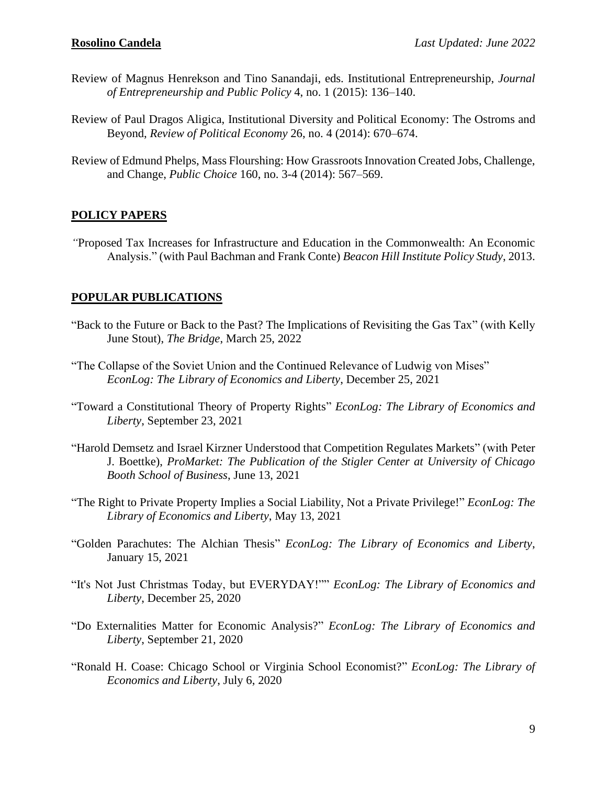- Review of Magnus Henrekson and Tino Sanandaji, eds. Institutional Entrepreneurship, *Journal of Entrepreneurship and Public Policy* 4, no. 1 (2015): 136–140.
- Review of Paul Dragos Aligica, Institutional Diversity and Political Economy: The Ostroms and Beyond, *Review of Political Economy* 26, no. 4 (2014): 670–674.
- Review of Edmund Phelps, Mass Flourshing: How Grassroots Innovation Created Jobs, Challenge, and Change, *Public Choice* 160, no. 3-4 (2014): 567–569.

### **POLICY PAPERS**

*"*Proposed Tax Increases for Infrastructure and Education in the Commonwealth: An Economic Analysis." (with Paul Bachman and Frank Conte) *Beacon Hill Institute Policy Study*, 2013.

### **POPULAR PUBLICATIONS**

- "Back to the Future or Back to the Past? The Implications of Revisiting the Gas Tax" (with Kelly June Stout), *The Bridge*, March 25, 2022
- "The Collapse of the Soviet Union and the Continued Relevance of Ludwig von Mises" *EconLog: The Library of Economics and Liberty*, December 25, 2021
- "Toward a Constitutional Theory of Property Rights" *EconLog: The Library of Economics and Liberty*, September 23, 2021
- "Harold Demsetz and Israel Kirzner Understood that Competition Regulates Markets" (with Peter J. Boettke), *ProMarket: The Publication of the Stigler Center at University of Chicago Booth School of Business*, June 13, 2021
- "The Right to Private Property Implies a Social Liability, Not a Private Privilege!" *EconLog: The Library of Economics and Liberty*, May 13, 2021
- "Golden Parachutes: The Alchian Thesis" *EconLog: The Library of Economics and Liberty*, January 15, 2021
- "It's Not Just Christmas Today, but EVERYDAY!"" *EconLog: The Library of Economics and Liberty*, December 25, 2020
- "Do Externalities Matter for Economic Analysis?" *EconLog: The Library of Economics and Liberty*, September 21, 2020
- "Ronald H. Coase: Chicago School or Virginia School Economist?" *EconLog: The Library of Economics and Liberty*, July 6, 2020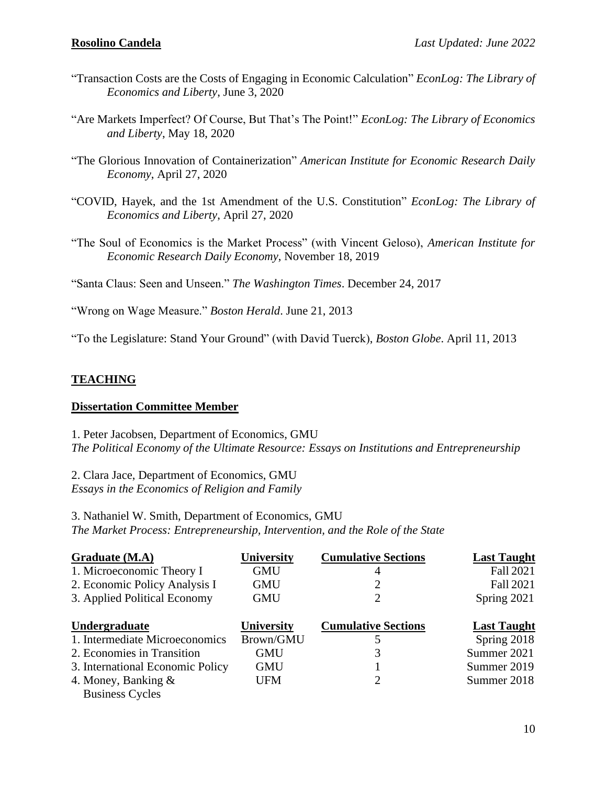- "Transaction Costs are the Costs of Engaging in Economic Calculation" *EconLog: The Library of Economics and Liberty*, June 3, 2020
- "Are Markets Imperfect? Of Course, But That's The Point!" *EconLog: The Library of Economics and Liberty*, May 18, 2020
- "The Glorious Innovation of Containerization" *American Institute for Economic Research Daily Economy*, April 27, 2020
- "COVID, Hayek, and the 1st Amendment of the U.S. Constitution" *EconLog: The Library of Economics and Liberty*, April 27, 2020
- "The Soul of Economics is the Market Process" (with Vincent Geloso), *American Institute for Economic Research Daily Economy*, November 18, 2019

"Santa Claus: Seen and Unseen." *The Washington Times*. December 24, 2017

"Wrong on Wage Measure." *Boston Herald*. June 21, 2013

"To the Legislature: Stand Your Ground" (with David Tuerck), *Boston Globe*. April 11, 2013

# **TEACHING**

### **Dissertation Committee Member**

1. Peter Jacobsen, Department of Economics, GMU *The Political Economy of the Ultimate Resource: Essays on Institutions and Entrepreneurship*

2. Clara Jace, Department of Economics, GMU *Essays in the Economics of Religion and Family* 

3. Nathaniel W. Smith, Department of Economics, GMU *The Market Process: Entrepreneurship, Intervention, and the Role of the State*

| Graduate (M.A)                   | University | <b>Cumulative Sections</b> | <b>Last Taught</b> |
|----------------------------------|------------|----------------------------|--------------------|
| 1. Microeconomic Theory I        | <b>GMU</b> | 4                          | <b>Fall 2021</b>   |
| 2. Economic Policy Analysis I    | <b>GMU</b> | 2                          | <b>Fall 2021</b>   |
| 3. Applied Political Economy     | <b>GMU</b> |                            | Spring 2021        |
| Undergraduate                    | University | <b>Cumulative Sections</b> | <b>Last Taught</b> |
| 1. Intermediate Microeconomics   | Brown/GMU  |                            | Spring 2018        |
| 2. Economies in Transition       | <b>GMU</b> |                            | Summer 2021        |
| 3. International Economic Policy | GMU        |                            | Summer 2019        |
| 4. Money, Banking $\&$           | UFM        | 2                          | Summer 2018        |
| <b>Business Cycles</b>           |            |                            |                    |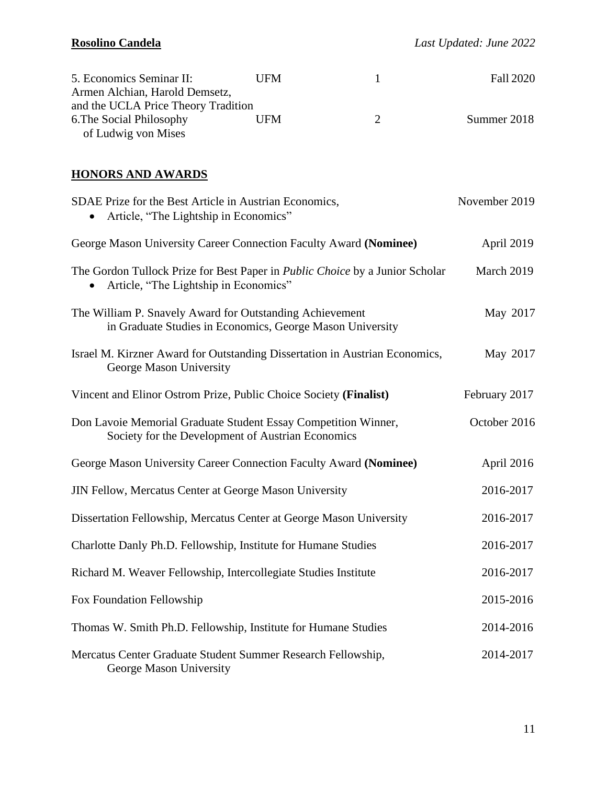| 5. Economics Seminar II:            | UFM |               | <b>Fall 2020</b> |
|-------------------------------------|-----|---------------|------------------|
| Armen Alchian, Harold Demsetz,      |     |               |                  |
| and the UCLA Price Theory Tradition |     |               |                  |
| 6. The Social Philosophy            | UFM | $\mathcal{D}$ | Summer 2018      |
| of Ludwig von Mises                 |     |               |                  |

# **HONORS AND AWARDS**

| SDAE Prize for the Best Article in Austrian Economics,<br>Article, "The Lightship in Economics"                       | November 2019 |
|-----------------------------------------------------------------------------------------------------------------------|---------------|
| George Mason University Career Connection Faculty Award (Nominee)                                                     | April 2019    |
| The Gordon Tullock Prize for Best Paper in Public Choice by a Junior Scholar<br>Article, "The Lightship in Economics" | March 2019    |
| The William P. Snavely Award for Outstanding Achievement<br>in Graduate Studies in Economics, George Mason University | May 2017      |
| Israel M. Kirzner Award for Outstanding Dissertation in Austrian Economics,<br>George Mason University                | May 2017      |
| Vincent and Elinor Ostrom Prize, Public Choice Society (Finalist)                                                     | February 2017 |
| Don Lavoie Memorial Graduate Student Essay Competition Winner,<br>Society for the Development of Austrian Economics   | October 2016  |
| George Mason University Career Connection Faculty Award (Nominee)                                                     | April 2016    |
| JIN Fellow, Mercatus Center at George Mason University                                                                | 2016-2017     |
| Dissertation Fellowship, Mercatus Center at George Mason University                                                   | 2016-2017     |
| Charlotte Danly Ph.D. Fellowship, Institute for Humane Studies                                                        | 2016-2017     |
| Richard M. Weaver Fellowship, Intercollegiate Studies Institute                                                       | 2016-2017     |
| Fox Foundation Fellowship                                                                                             | 2015-2016     |
| Thomas W. Smith Ph.D. Fellowship, Institute for Humane Studies                                                        | 2014-2016     |
| Mercatus Center Graduate Student Summer Research Fellowship,<br>George Mason University                               | 2014-2017     |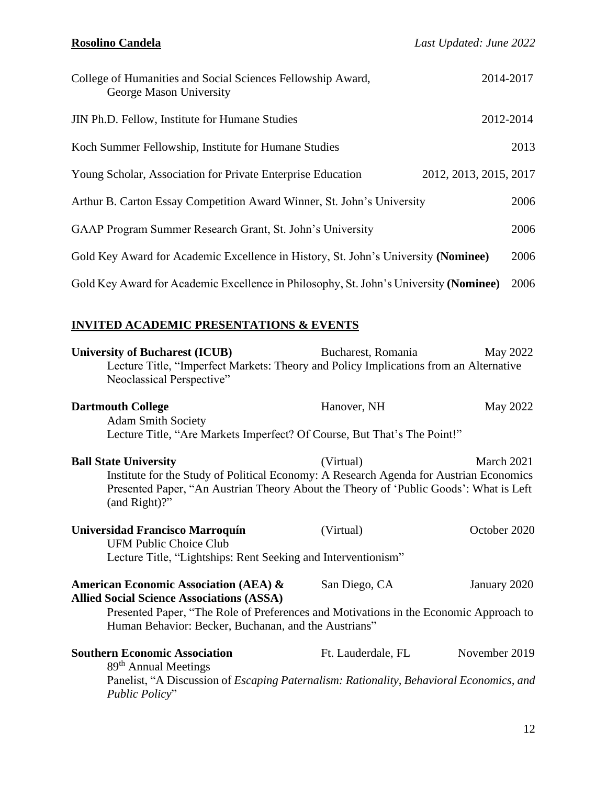| College of Humanities and Social Sciences Fellowship Award,<br>George Mason University | 2014-2017              |
|----------------------------------------------------------------------------------------|------------------------|
| JIN Ph.D. Fellow, Institute for Humane Studies                                         | 2012-2014              |
| Koch Summer Fellowship, Institute for Humane Studies                                   | 2013                   |
| Young Scholar, Association for Private Enterprise Education                            | 2012, 2013, 2015, 2017 |
| Arthur B. Carton Essay Competition Award Winner, St. John's University                 | 2006                   |
| GAAP Program Summer Research Grant, St. John's University                              | 2006                   |
| Gold Key Award for Academic Excellence in History, St. John's University (Nominee)     | 2006                   |
| Gold Key Award for Academic Excellence in Philosophy, St. John's University (Nominee)  | 2006                   |

# **INVITED ACADEMIC PRESENTATIONS & EVENTS**

| <b>University of Bucharest (ICUB)</b><br>Lecture Title, "Imperfect Markets: Theory and Policy Implications from an Alternative<br>Neoclassical Perspective"                                                                                           | Bucharest, Romania | May 2022      |
|-------------------------------------------------------------------------------------------------------------------------------------------------------------------------------------------------------------------------------------------------------|--------------------|---------------|
| <b>Dartmouth College</b><br><b>Adam Smith Society</b><br>Lecture Title, "Are Markets Imperfect? Of Course, But That's The Point!"                                                                                                                     | Hanover, NH        | May 2022      |
| <b>Ball State University</b><br>Institute for the Study of Political Economy: A Research Agenda for Austrian Economics<br>Presented Paper, "An Austrian Theory About the Theory of 'Public Goods': What is Left<br>(and Right)?"                      | (Virtual)          | March 2021    |
| <b>Universidad Francisco Marroquín</b><br><b>UFM Public Choice Club</b><br>Lecture Title, "Lightships: Rent Seeking and Interventionism"                                                                                                              | (Virtual)          | October 2020  |
| <b>American Economic Association (AEA) &amp;</b><br><b>Allied Social Science Associations (ASSA)</b><br>Presented Paper, "The Role of Preferences and Motivations in the Economic Approach to<br>Human Behavior: Becker, Buchanan, and the Austrians" | San Diego, CA      | January 2020  |
| <b>Southern Economic Association</b><br>89 <sup>th</sup> Annual Meetings<br>Panelist, "A Discussion of Escaping Paternalism: Rationality, Behavioral Economics, and<br>Public Policy"                                                                 | Ft. Lauderdale, FL | November 2019 |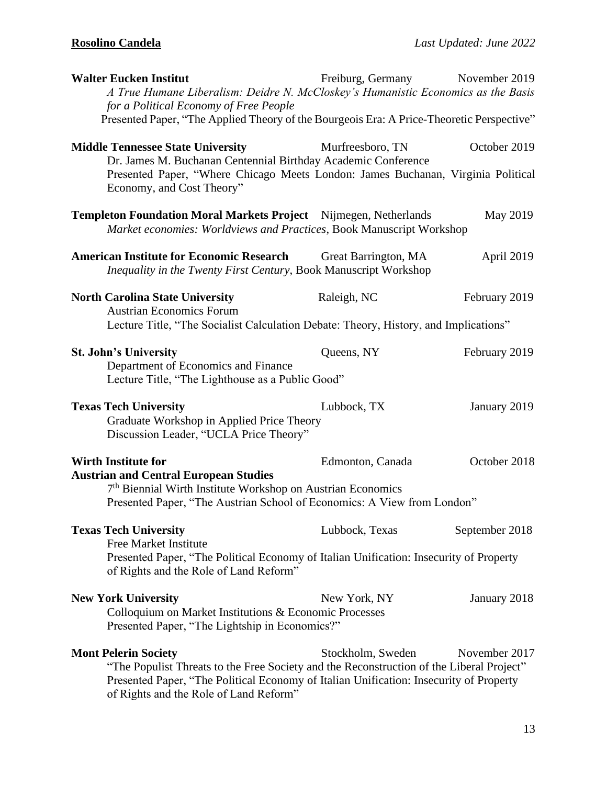| <b>Walter Eucken Institut</b><br>A True Humane Liberalism: Deidre N. McCloskey's Humanistic Economics as the Basis                                                                                                                                          | Freiburg, Germany November 2019 |                |
|-------------------------------------------------------------------------------------------------------------------------------------------------------------------------------------------------------------------------------------------------------------|---------------------------------|----------------|
| for a Political Economy of Free People                                                                                                                                                                                                                      |                                 |                |
| Presented Paper, "The Applied Theory of the Bourgeois Era: A Price-Theoretic Perspective"                                                                                                                                                                   |                                 |                |
| <b>Middle Tennessee State University</b><br>Dr. James M. Buchanan Centennial Birthday Academic Conference                                                                                                                                                   | Murfreesboro, TN                | October 2019   |
| Presented Paper, "Where Chicago Meets London: James Buchanan, Virginia Political<br>Economy, and Cost Theory"                                                                                                                                               |                                 |                |
| <b>Templeton Foundation Moral Markets Project</b> Nijmegen, Netherlands<br>Market economies: Worldviews and Practices, Book Manuscript Workshop                                                                                                             |                                 | May 2019       |
| <b>American Institute for Economic Research</b><br>Inequality in the Twenty First Century, Book Manuscript Workshop                                                                                                                                         | Great Barrington, MA            | April 2019     |
| <b>North Carolina State University</b><br><b>Austrian Economics Forum</b>                                                                                                                                                                                   | Raleigh, NC                     | February 2019  |
| Lecture Title, "The Socialist Calculation Debate: Theory, History, and Implications"                                                                                                                                                                        |                                 |                |
| <b>St. John's University</b>                                                                                                                                                                                                                                | Queens, NY                      | February 2019  |
| Department of Economics and Finance<br>Lecture Title, "The Lighthouse as a Public Good"                                                                                                                                                                     |                                 |                |
| <b>Texas Tech University</b><br>Graduate Workshop in Applied Price Theory<br>Discussion Leader, "UCLA Price Theory"                                                                                                                                         | Lubbock, TX                     | January 2019   |
| <b>Wirth Institute for</b>                                                                                                                                                                                                                                  | Edmonton, Canada                | October 2018   |
| <b>Austrian and Central European Studies</b><br>7 <sup>th</sup> Biennial Wirth Institute Workshop on Austrian Economics<br>Presented Paper, "The Austrian School of Economics: A View from London"                                                          |                                 |                |
| <b>Texas Tech University</b>                                                                                                                                                                                                                                | Lubbock, Texas                  | September 2018 |
| <b>Free Market Institute</b><br>Presented Paper, "The Political Economy of Italian Unification: Insecurity of Property<br>of Rights and the Role of Land Reform"                                                                                            |                                 |                |
| <b>New York University</b>                                                                                                                                                                                                                                  | New York, NY                    | January 2018   |
| Colloquium on Market Institutions & Economic Processes<br>Presented Paper, "The Lightship in Economics?"                                                                                                                                                    |                                 |                |
| <b>Mont Pelerin Society</b><br>"The Populist Threats to the Free Society and the Reconstruction of the Liberal Project"<br>Presented Paper, "The Political Economy of Italian Unification: Insecurity of Property<br>of Rights and the Role of Land Reform" | Stockholm, Sweden               | November 2017  |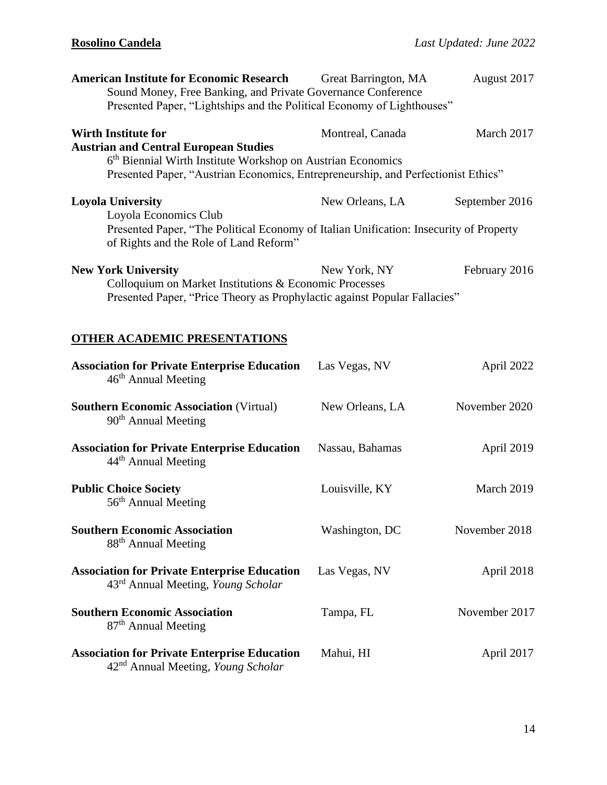| <b>American Institute for Economic Research</b><br>Sound Money, Free Banking, and Private Governance Conference<br>Presented Paper, "Lightships and the Political Economy of Lighthouses"                                                  | Great Barrington, MA | August 2017    |
|--------------------------------------------------------------------------------------------------------------------------------------------------------------------------------------------------------------------------------------------|----------------------|----------------|
| <b>Wirth Institute for</b><br><b>Austrian and Central European Studies</b><br>6 <sup>th</sup> Biennial Wirth Institute Workshop on Austrian Economics<br>Presented Paper, "Austrian Economics, Entrepreneurship, and Perfectionist Ethics" | Montreal, Canada     | March 2017     |
| <b>Loyola University</b><br>Loyola Economics Club<br>Presented Paper, "The Political Economy of Italian Unification: Insecurity of Property<br>of Rights and the Role of Land Reform"                                                      | New Orleans, LA      | September 2016 |
| <b>New York University</b><br>Colloquium on Market Institutions & Economic Processes<br>Presented Paper, "Price Theory as Prophylactic against Popular Fallacies"                                                                          | New York, NY         | February 2016  |
| <b>OTHER ACADEMIC PRESENTATIONS</b>                                                                                                                                                                                                        |                      |                |
| <b>Association for Private Enterprise Education</b><br>$46th$ Annual Meeting                                                                                                                                                               | Las Vegas, NV        | April 2022     |
| <b>Southern Economic Association (Virtual)</b><br>90 <sup>th</sup> Annual Meeting                                                                                                                                                          | New Orleans, LA      | November 2020  |
| <b>Association for Private Enterprise Education</b><br>44 <sup>th</sup> Annual Meeting                                                                                                                                                     | Nassau, Bahamas      | April 2019     |
| <b>Public Choice Society</b><br>56 <sup>th</sup> Annual Meeting                                                                                                                                                                            | Louisville, KY       | March 2019     |
| <b>Southern Economic Association</b><br>88 <sup>th</sup> Annual Meeting                                                                                                                                                                    | Washington, DC       | November 2018  |
| <b>Association for Private Enterprise Education</b><br>43 <sup>rd</sup> Annual Meeting, <i>Young Scholar</i>                                                                                                                               | Las Vegas, NV        | April 2018     |
| <b>Southern Economic Association</b><br>87 <sup>th</sup> Annual Meeting                                                                                                                                                                    | Tampa, FL            | November 2017  |
| <b>Association for Private Enterprise Education</b><br>42 <sup>nd</sup> Annual Meeting, Young Scholar                                                                                                                                      | Mahui, HI            | April 2017     |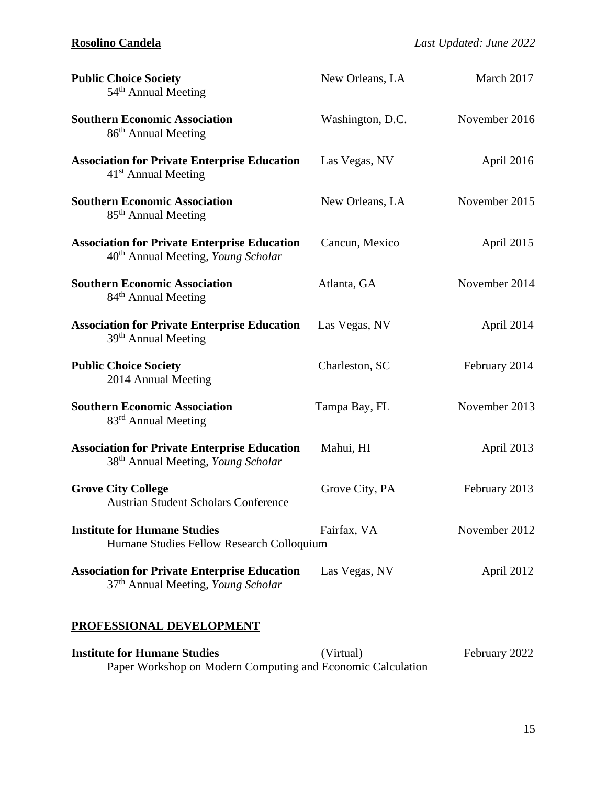| <b>Public Choice Society</b><br>54 <sup>th</sup> Annual Meeting                                              | New Orleans, LA  | March 2017    |
|--------------------------------------------------------------------------------------------------------------|------------------|---------------|
| <b>Southern Economic Association</b><br>86 <sup>th</sup> Annual Meeting                                      | Washington, D.C. | November 2016 |
| <b>Association for Private Enterprise Education</b><br>$41st$ Annual Meeting                                 | Las Vegas, NV    | April 2016    |
| <b>Southern Economic Association</b><br>85 <sup>th</sup> Annual Meeting                                      | New Orleans, LA  | November 2015 |
| <b>Association for Private Enterprise Education</b><br>40 <sup>th</sup> Annual Meeting, Young Scholar        | Cancun, Mexico   | April 2015    |
| <b>Southern Economic Association</b><br>84 <sup>th</sup> Annual Meeting                                      | Atlanta, GA      | November 2014 |
| <b>Association for Private Enterprise Education</b><br>39 <sup>th</sup> Annual Meeting                       | Las Vegas, NV    | April 2014    |
| <b>Public Choice Society</b><br>2014 Annual Meeting                                                          | Charleston, SC   | February 2014 |
| <b>Southern Economic Association</b><br>83 <sup>rd</sup> Annual Meeting                                      | Tampa Bay, FL    | November 2013 |
| <b>Association for Private Enterprise Education</b><br>38 <sup>th</sup> Annual Meeting, <i>Young Scholar</i> | Mahui, HI        | April 2013    |
| <b>Grove City College</b><br><b>Austrian Student Scholars Conference</b>                                     | Grove City, PA   | February 2013 |
| <b>Institute for Humane Studies</b><br>Humane Studies Fellow Research Colloquium                             | Fairfax, VA      | November 2012 |
| <b>Association for Private Enterprise Education</b><br>37 <sup>th</sup> Annual Meeting, Young Scholar        | Las Vegas, NV    | April 2012    |

# **PROFESSIONAL DEVELOPMENT**

| <b>Institute for Humane Studies</b> | (Virtual)                                                   | February 2022 |
|-------------------------------------|-------------------------------------------------------------|---------------|
|                                     | Paper Workshop on Modern Computing and Economic Calculation |               |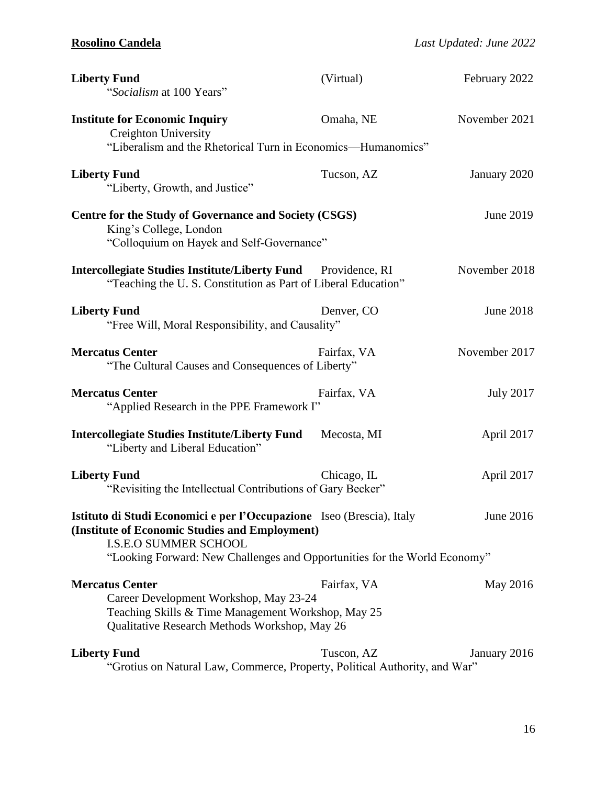| <b>Liberty Fund</b><br>"Socialism at 100 Years"                                                                                                                                                                                                   | (Virtual)   | February 2022    |  |
|---------------------------------------------------------------------------------------------------------------------------------------------------------------------------------------------------------------------------------------------------|-------------|------------------|--|
| <b>Institute for Economic Inquiry</b><br><b>Creighton University</b><br>"Liberalism and the Rhetorical Turn in Economics—Humanomics"                                                                                                              | Omaha, NE   | November 2021    |  |
| <b>Liberty Fund</b><br>"Liberty, Growth, and Justice"                                                                                                                                                                                             | Tucson, AZ  | January 2020     |  |
| Centre for the Study of Governance and Society (CSGS)<br>King's College, London<br>"Colloquium on Hayek and Self-Governance"                                                                                                                      |             | June 2019        |  |
| <b>Intercollegiate Studies Institute/Liberty Fund</b> Providence, RI<br>"Teaching the U.S. Constitution as Part of Liberal Education"                                                                                                             |             | November 2018    |  |
| <b>Liberty Fund</b><br>"Free Will, Moral Responsibility, and Causality"                                                                                                                                                                           | Denver, CO  | <b>June 2018</b> |  |
| <b>Mercatus Center</b><br>"The Cultural Causes and Consequences of Liberty"                                                                                                                                                                       | Fairfax, VA | November 2017    |  |
| <b>Mercatus Center</b><br>"Applied Research in the PPE Framework I"                                                                                                                                                                               | Fairfax, VA | <b>July 2017</b> |  |
| <b>Intercollegiate Studies Institute/Liberty Fund</b><br>"Liberty and Liberal Education"                                                                                                                                                          | Mecosta, MI | April 2017       |  |
| <b>Liberty Fund</b><br>"Revisiting the Intellectual Contributions of Gary Becker"                                                                                                                                                                 | Chicago, IL | April 2017       |  |
| Istituto di Studi Economici e per l'Occupazione Iseo (Brescia), Italy<br>June 2016<br>(Institute of Economic Studies and Employment)<br><b>I.S.E.O SUMMER SCHOOL</b><br>"Looking Forward: New Challenges and Opportunities for the World Economy" |             |                  |  |
| <b>Mercatus Center</b><br>Career Development Workshop, May 23-24<br>Teaching Skills & Time Management Workshop, May 25<br>Qualitative Research Methods Workshop, May 26                                                                           | Fairfax, VA | May 2016         |  |
| <b>Liberty Fund</b><br>"Grotius on Natural Law, Commerce, Property, Political Authority, and War"                                                                                                                                                 | Tuscon, AZ  | January 2016     |  |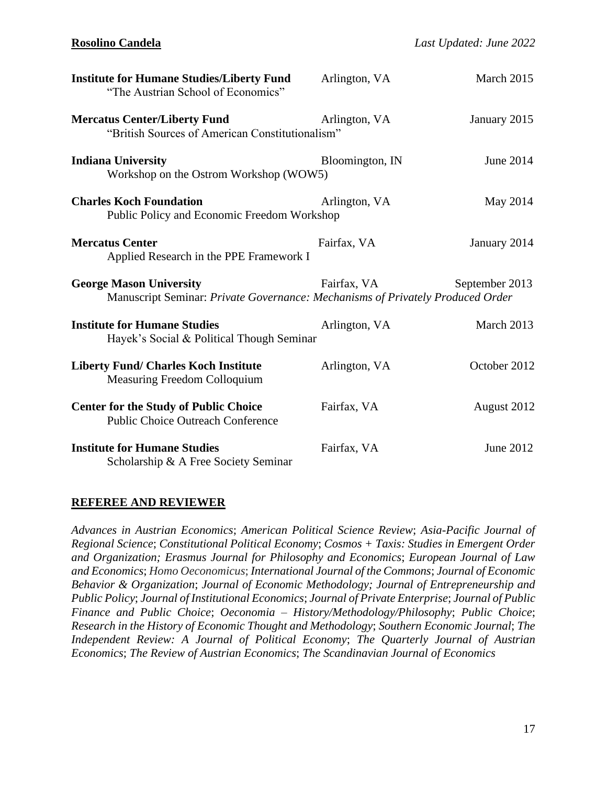| <b>Institute for Humane Studies/Liberty Fund</b><br>"The Austrian School of Economics"                           | Arlington, VA   | March 2015     |
|------------------------------------------------------------------------------------------------------------------|-----------------|----------------|
| <b>Mercatus Center/Liberty Fund</b><br>"British Sources of American Constitutionalism"                           | Arlington, VA   | January 2015   |
| <b>Indiana University</b><br>Workshop on the Ostrom Workshop (WOW5)                                              | Bloomington, IN | June 2014      |
| <b>Charles Koch Foundation</b><br>Public Policy and Economic Freedom Workshop                                    | Arlington, VA   | May 2014       |
| <b>Mercatus Center</b><br>Applied Research in the PPE Framework I                                                | Fairfax, VA     | January 2014   |
| <b>George Mason University</b><br>Manuscript Seminar: Private Governance: Mechanisms of Privately Produced Order | Fairfax, VA     | September 2013 |
| <b>Institute for Humane Studies</b><br>Hayek's Social & Political Though Seminar                                 | Arlington, VA   | March 2013     |
| <b>Liberty Fund/ Charles Koch Institute</b><br>Measuring Freedom Colloquium                                      | Arlington, VA   | October 2012   |
| <b>Center for the Study of Public Choice</b><br><b>Public Choice Outreach Conference</b>                         | Fairfax, VA     | August 2012    |
| <b>Institute for Humane Studies</b><br>Scholarship & A Free Society Seminar                                      | Fairfax, VA     | June 2012      |

### **REFEREE AND REVIEWER**

*Advances in Austrian Economics*; *American Political Science Review*; *Asia-Pacific Journal of Regional Science*; *Constitutional Political Economy*; *Cosmos + Taxis: Studies in Emergent Order and Organization; Erasmus Journal for Philosophy and Economics*; *European Journal of Law and Economics*; *Homo Oeconomicus*; *International Journal of the Commons*; *Journal of Economic Behavior & Organization*; *Journal of Economic Methodology; Journal of Entrepreneurship and Public Policy*; *Journal of Institutional Economics*; *Journal of Private Enterprise*; *Journal of Public Finance and Public Choice*; *Oeconomia – History/Methodology/Philosophy*; *Public Choice*; *Research in the History of Economic Thought and Methodology*; *Southern Economic Journal*; *The Independent Review: A Journal of Political Economy*; *The Quarterly Journal of Austrian Economics*; *The Review of Austrian Economics*; *The Scandinavian Journal of Economics*